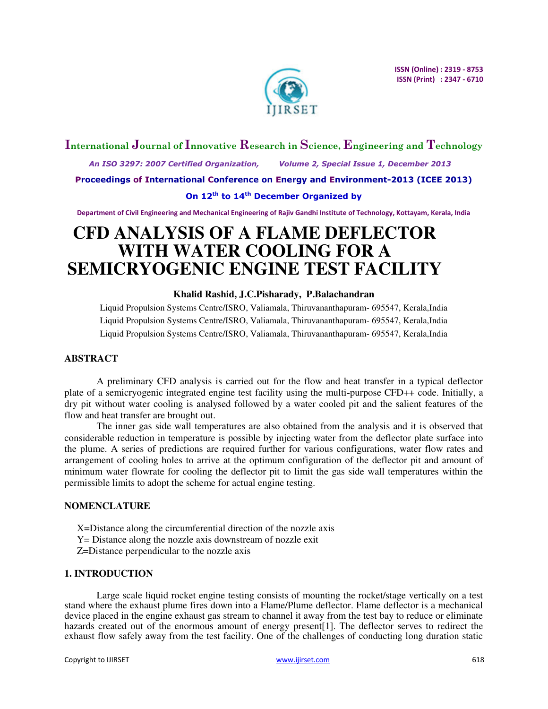

# **International Journal of Innovative Research in Science, Engineering and Technology**

 *An ISO 3297: 2007 Certified Organization, Volume 2, Special Issue 1, December 2013* 

**Proceedings of International Conference on Energy and Environment-2013 (ICEE 2013)** 

# **On 12th to 14th December Organized by**

**Department of Civil Engineering and Mechanical Engineering of Rajiv Gandhi Institute of Technology, Kottayam, Kerala, India** 

# **CFD ANALYSIS OF A FLAME DEFLECTOR WITH WATER COOLING FOR A SEMICRYOGENIC ENGINE TEST FACILITY**

# **Khalid Rashid, J.C.Pisharady, P.Balachandran**

Liquid Propulsion Systems Centre/ISRO, Valiamala, Thiruvananthapuram- 695547, Kerala,India Liquid Propulsion Systems Centre/ISRO, Valiamala, Thiruvananthapuram- 695547, Kerala,India Liquid Propulsion Systems Centre/ISRO, Valiamala, Thiruvananthapuram- 695547, Kerala,India

#### **ABSTRACT**

A preliminary CFD analysis is carried out for the flow and heat transfer in a typical deflector plate of a semicryogenic integrated engine test facility using the multi-purpose CFD++ code. Initially, a dry pit without water cooling is analysed followed by a water cooled pit and the salient features of the flow and heat transfer are brought out.

The inner gas side wall temperatures are also obtained from the analysis and it is observed that considerable reduction in temperature is possible by injecting water from the deflector plate surface into the plume. A series of predictions are required further for various configurations, water flow rates and arrangement of cooling holes to arrive at the optimum configuration of the deflector pit and amount of minimum water flowrate for cooling the deflector pit to limit the gas side wall temperatures within the permissible limits to adopt the scheme for actual engine testing.

#### **NOMENCLATURE**

X=Distance along the circumferential direction of the nozzle axis Y= Distance along the nozzle axis downstream of nozzle exit Z=Distance perpendicular to the nozzle axis

# **1. INTRODUCTION**

Large scale liquid rocket engine testing consists of mounting the rocket/stage vertically on a test stand where the exhaust plume fires down into a Flame/Plume deflector. Flame deflector is a mechanical device placed in the engine exhaust gas stream to channel it away from the test bay to reduce or eliminate hazards created out of the enormous amount of energy present[1]. The deflector serves to redirect the exhaust flow safely away from the test facility. One of the challenges of conducting long duration static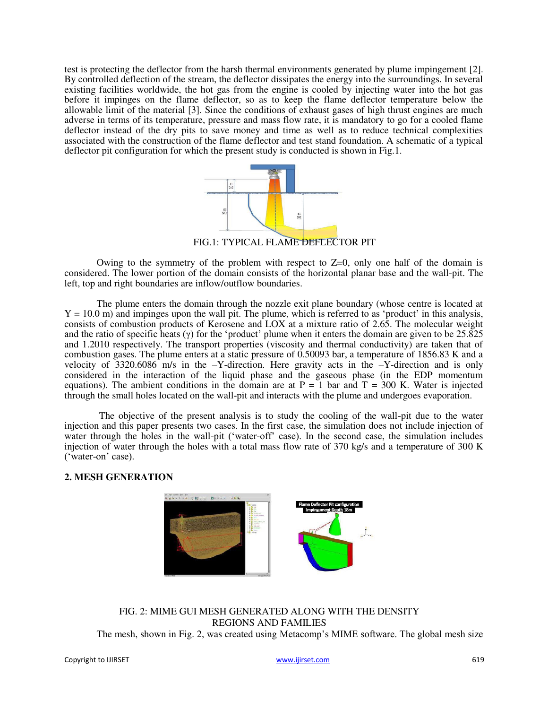test is protecting the deflector from the harsh thermal environments generated by plume impingement [2]. By controlled deflection of the stream, the deflector dissipates the energy into the surroundings. In several existing facilities worldwide, the hot gas from the engine is cooled by injecting water into the hot gas before it impinges on the flame deflector, so as to keep the flame deflector temperature below the allowable limit of the material [3]. Since the conditions of exhaust gases of high thrust engines are much adverse in terms of its temperature, pressure and mass flow rate, it is mandatory to go for a cooled flame deflector instead of the dry pits to save money and time as well as to reduce technical complexities associated with the construction of the flame deflector and test stand foundation. A schematic of a typical deflector pit configuration for which the present study is conducted is shown in Fig.1.



FIG.1: TYPICAL FLAME DEFLECTOR PIT

Owing to the symmetry of the problem with respect to  $Z=0$ , only one half of the domain is considered. The lower portion of the domain consists of the horizontal planar base and the wall-pit. The left, top and right boundaries are inflow/outflow boundaries.

The plume enters the domain through the nozzle exit plane boundary (whose centre is located at  $Y = 10.0$  m) and impinges upon the wall pit. The plume, which is referred to as 'product' in this analysis, consists of combustion products of Kerosene and LOX at a mixture ratio of 2.65. The molecular weight and the ratio of specific heats (γ) for the 'product' plume when it enters the domain are given to be  $25.\overline{825}$ and 1.2010 respectively. The transport properties (viscosity and thermal conductivity) are taken that of combustion gases. The plume enters at a static pressure of 0.50093 bar, a temperature of 1856.83 K and a velocity of 3320.6086 m/s in the –Y-direction. Here gravity acts in the –Y-direction and is only considered in the interaction of the liquid phase and the gaseous phase (in the EDP momentum equations). The ambient conditions in the domain are at  $P = 1$  bar and  $T = 300$  K. Water is injected through the small holes located on the wall-pit and interacts with the plume and undergoes evaporation.

The objective of the present analysis is to study the cooling of the wall-pit due to the water injection and this paper presents two cases. In the first case, the simulation does not include injection of water through the holes in the wall-pit ('water-off' case). In the second case, the simulation includes injection of water through the holes with a total mass flow rate of 370 kg/s and a temperature of 300 K ('water-on' case).

#### **2. MESH GENERATION**



FIG. 2: MIME GUI MESH GENERATED ALONG WITH THE DENSITY REGIONS AND FAMILIES The mesh, shown in Fig. 2, was created using Metacomp's MIME software. The global mesh size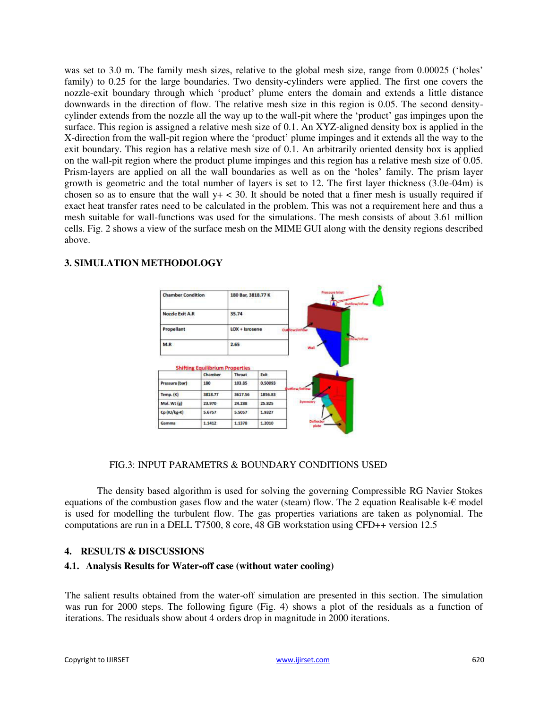was set to 3.0 m. The family mesh sizes, relative to the global mesh size, range from 0.00025 ('holes' family) to 0.25 for the large boundaries. Two density-cylinders were applied. The first one covers the nozzle-exit boundary through which 'product' plume enters the domain and extends a little distance downwards in the direction of flow. The relative mesh size in this region is 0.05. The second densitycylinder extends from the nozzle all the way up to the wall-pit where the 'product' gas impinges upon the surface. This region is assigned a relative mesh size of 0.1. An XYZ-aligned density box is applied in the X-direction from the wall-pit region where the 'product' plume impinges and it extends all the way to the exit boundary. This region has a relative mesh size of 0.1. An arbitrarily oriented density box is applied on the wall-pit region where the product plume impinges and this region has a relative mesh size of 0.05. Prism-layers are applied on all the wall boundaries as well as on the 'holes' family. The prism layer growth is geometric and the total number of layers is set to 12. The first layer thickness (3.0e-04m) is chosen so as to ensure that the wall  $y + < 30$ . It should be noted that a finer mesh is usually required if exact heat transfer rates need to be calculated in the problem. This was not a requirement here and thus a mesh suitable for wall-functions was used for the simulations. The mesh consists of about 3.61 million cells. Fig. 2 shows a view of the surface mesh on the MIME GUI along with the density regions described above.



# **3. SIMULATION METHODOLOGY**

#### FIG.3: INPUT PARAMETRS & BOUNDARY CONDITIONS USED

The density based algorithm is used for solving the governing Compressible RG Navier Stokes equations of the combustion gases flow and the water (steam) flow. The 2 equation Realisable k-€ model is used for modelling the turbulent flow. The gas properties variations are taken as polynomial. The computations are run in a DELL T7500, 8 core, 48 GB workstation using CFD++ version 12.5

# **4. RESULTS & DISCUSSIONS**

#### **4.1. Analysis Results for Water-off case (without water cooling)**

The salient results obtained from the water-off simulation are presented in this section. The simulation was run for 2000 steps. The following figure (Fig. 4) shows a plot of the residuals as a function of iterations. The residuals show about 4 orders drop in magnitude in 2000 iterations.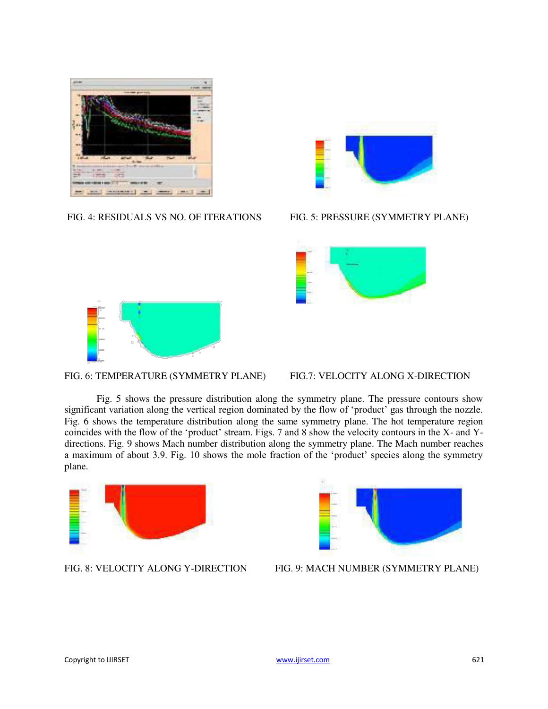

FIG. 4: RESIDUALS VS NO. OF ITERATIONS FIG. 5: PRESSURE (SYMMETRY PLANE)







# FIG. 6: TEMPERATURE (SYMMETRY PLANE) FIG.7: VELOCITY ALONG X-DIRECTION

Fig. 5 shows the pressure distribution along the symmetry plane. The pressure contours show significant variation along the vertical region dominated by the flow of 'product' gas through the nozzle. Fig. 6 shows the temperature distribution along the same symmetry plane. The hot temperature region coincides with the flow of the 'product' stream. Figs. 7 and 8 show the velocity contours in the X- and Ydirections. Fig. 9 shows Mach number distribution along the symmetry plane. The Mach number reaches a maximum of about 3.9. Fig. 10 shows the mole fraction of the 'product' species along the symmetry plane.





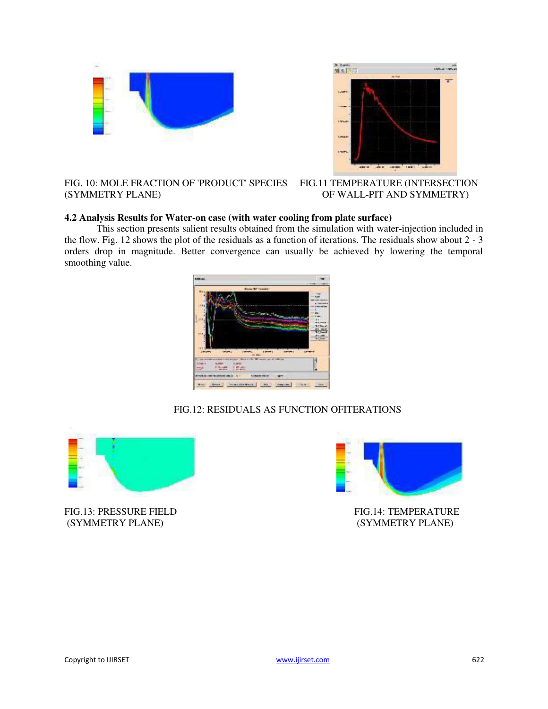



# FIG. 10: MOLE FRACTION OF 'PRODUCT' SPECIES FIG.11 TEMPERATURE (INTERSECTION (SYMMETRY PLANE) OF WALL-PIT AND SYMMETRY)

# **4.2 Analysis Results for Water-on case (with water cooling from plate surface)**

This section presents salient results obtained from the simulation with water-injection included in the flow. Fig. 12 shows the plot of the residuals as a function of iterations. The residuals show about 2 - 3 orders drop in magnitude. Better convergence can usually be achieved by lowering the temporal smoothing value.



# FIG.12: RESIDUALS AS FUNCTION OFITERATIONS



FIG.13: PRESSURE FIELD FIG.14: TEMPERATURE (SYMMETRY PLANE) (SYMMETRY PLANE)

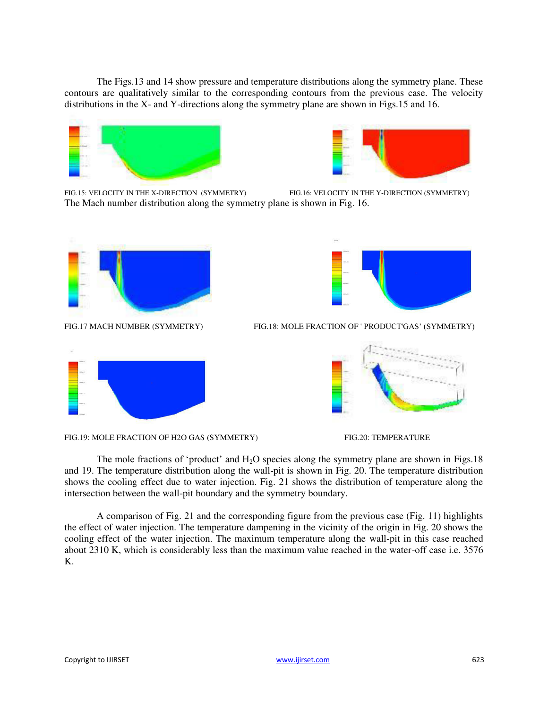The Figs.13 and 14 show pressure and temperature distributions along the symmetry plane. These contours are qualitatively similar to the corresponding contours from the previous case. The velocity distributions in the X- and Y-directions along the symmetry plane are shown in Figs.15 and 16.





FIG.15: VELOCITY IN THE X-DIRECTION (SYMMETRY) FIG.16: VELOCITY IN THE Y-DIRECTION (SYMMETRY) The Mach number distribution along the symmetry plane is shown in Fig. 16.





FIG.17 MACH NUMBER (SYMMETRY) FIG.18: MOLE FRACTION OF ' PRODUCT'GAS' (SYMMETRY)









The mole fractions of 'product' and  $H_2O$  species along the symmetry plane are shown in Figs.18 and 19. The temperature distribution along the wall-pit is shown in Fig. 20. The temperature distribution shows the cooling effect due to water injection. Fig. 21 shows the distribution of temperature along the intersection between the wall-pit boundary and the symmetry boundary.

A comparison of Fig. 21 and the corresponding figure from the previous case (Fig. 11) highlights the effect of water injection. The temperature dampening in the vicinity of the origin in Fig. 20 shows the cooling effect of the water injection. The maximum temperature along the wall-pit in this case reached about 2310 K, which is considerably less than the maximum value reached in the water-off case i.e. 3576 K.